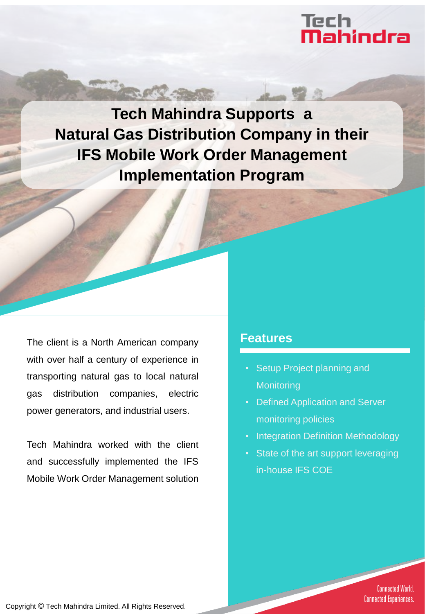# Tech<br>**Mahindra**

**Tech Mahindra Supports a Natural Gas Distribution Company in their IFS Mobile Work Order Management Implementation Program**

**BARRA** 

The client is a North American company with over half a century of experience in transporting natural gas to local natural gas distribution companies, electric power generators, and industrial users.

Tech Mahindra worked with the client and successfully implemented the IFS Mobile Work Order Management solution

### **Features**

- Setup Project planning and **Monitoring**
- Defined Application and Server monitoring policies
- **Integration Definition Methodology**
- State of the art support leveraging in-house IFS COE

**Connected World. Connected Experiences.** 

Copyright © Tech Mahindra Limited. All Rights Reserved.